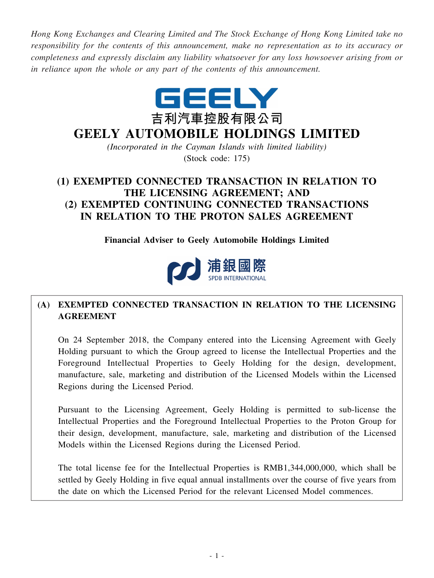*Hong Kong Exchanges and Clearing Limited and The Stock Exchange of Hong Kong Limited take no responsibility for the contents of this announcement, make no representation as to its accuracy or completeness and expressly disclaim any liability whatsoever for any loss howsoever arising from or in reliance upon the whole or any part of the contents of this announcement.*



# **GEELY AUTOMOBILE HOLDINGS LIMITED**

*(Incorporated in the Cayman Islands with limited liability)* (Stock code: 175)

## **(1) EXEMPTED CONNECTED TRANSACTION IN RELATION TO THE LICENSING AGREEMENT; AND (2) EXEMPTED CONTINUING CONNECTED TRANSACTIONS IN RELATION TO THE PROTON SALES AGREEMENT**

**Financial Adviser to Geely Automobile Holdings Limited**



## **(A) EXEMPTED CONNECTED TRANSACTION IN RELATION TO THE LICENSING AGREEMENT**

On 24 September 2018, the Company entered into the Licensing Agreement with Geely Holding pursuant to which the Group agreed to license the Intellectual Properties and the Foreground Intellectual Properties to Geely Holding for the design, development, manufacture, sale, marketing and distribution of the Licensed Models within the Licensed Regions during the Licensed Period.

Pursuant to the Licensing Agreement, Geely Holding is permitted to sub-license the Intellectual Properties and the Foreground Intellectual Properties to the Proton Group for their design, development, manufacture, sale, marketing and distribution of the Licensed Models within the Licensed Regions during the Licensed Period.

The total license fee for the Intellectual Properties is RMB1,344,000,000, which shall be settled by Geely Holding in five equal annual installments over the course of five years from the date on which the Licensed Period for the relevant Licensed Model commences.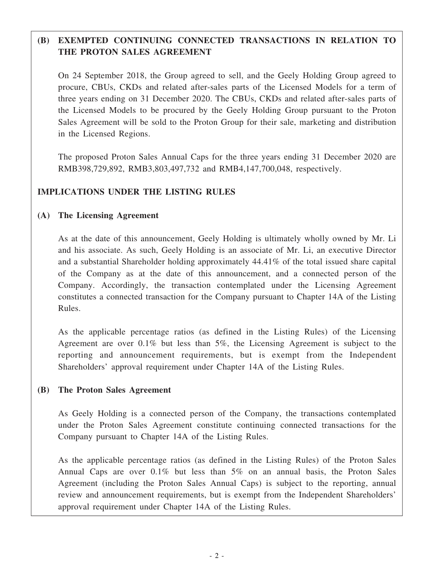## **(B) EXEMPTED CONTINUING CONNECTED TRANSACTIONS IN RELATION TO THE PROTON SALES AGREEMENT**

On 24 September 2018, the Group agreed to sell, and the Geely Holding Group agreed to procure, CBUs, CKDs and related after-sales parts of the Licensed Models for a term of three years ending on 31 December 2020. The CBUs, CKDs and related after-sales parts of the Licensed Models to be procured by the Geely Holding Group pursuant to the Proton Sales Agreement will be sold to the Proton Group for their sale, marketing and distribution in the Licensed Regions.

The proposed Proton Sales Annual Caps for the three years ending 31 December 2020 are RMB398,729,892, RMB3,803,497,732 and RMB4,147,700,048, respectively.

### **IMPLICATIONS UNDER THE LISTING RULES**

### **(A) The Licensing Agreement**

As at the date of this announcement, Geely Holding is ultimately wholly owned by Mr. Li and his associate. As such, Geely Holding is an associate of Mr. Li, an executive Director and a substantial Shareholder holding approximately 44.41% of the total issued share capital of the Company as at the date of this announcement, and a connected person of the Company. Accordingly, the transaction contemplated under the Licensing Agreement constitutes a connected transaction for the Company pursuant to Chapter 14A of the Listing Rules.

As the applicable percentage ratios (as defined in the Listing Rules) of the Licensing Agreement are over 0.1% but less than 5%, the Licensing Agreement is subject to the reporting and announcement requirements, but is exempt from the Independent Shareholders' approval requirement under Chapter 14A of the Listing Rules.

#### **(B) The Proton Sales Agreement**

As Geely Holding is a connected person of the Company, the transactions contemplated under the Proton Sales Agreement constitute continuing connected transactions for the Company pursuant to Chapter 14A of the Listing Rules.

As the applicable percentage ratios (as defined in the Listing Rules) of the Proton Sales Annual Caps are over 0.1% but less than 5% on an annual basis, the Proton Sales Agreement (including the Proton Sales Annual Caps) is subject to the reporting, annual review and announcement requirements, but is exempt from the Independent Shareholders' approval requirement under Chapter 14A of the Listing Rules.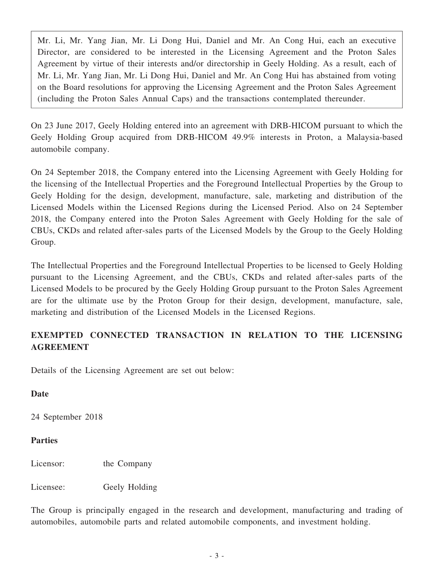Mr. Li, Mr. Yang Jian, Mr. Li Dong Hui, Daniel and Mr. An Cong Hui, each an executive Director, are considered to be interested in the Licensing Agreement and the Proton Sales Agreement by virtue of their interests and/or directorship in Geely Holding. As a result, each of Mr. Li, Mr. Yang Jian, Mr. Li Dong Hui, Daniel and Mr. An Cong Hui has abstained from voting on the Board resolutions for approving the Licensing Agreement and the Proton Sales Agreement (including the Proton Sales Annual Caps) and the transactions contemplated thereunder.

On 23 June 2017, Geely Holding entered into an agreement with DRB-HICOM pursuant to which the Geely Holding Group acquired from DRB-HICOM 49.9% interests in Proton, a Malaysia-based automobile company.

On 24 September 2018, the Company entered into the Licensing Agreement with Geely Holding for the licensing of the Intellectual Properties and the Foreground Intellectual Properties by the Group to Geely Holding for the design, development, manufacture, sale, marketing and distribution of the Licensed Models within the Licensed Regions during the Licensed Period. Also on 24 September 2018, the Company entered into the Proton Sales Agreement with Geely Holding for the sale of CBUs, CKDs and related after-sales parts of the Licensed Models by the Group to the Geely Holding Group.

The Intellectual Properties and the Foreground Intellectual Properties to be licensed to Geely Holding pursuant to the Licensing Agreement, and the CBUs, CKDs and related after-sales parts of the Licensed Models to be procured by the Geely Holding Group pursuant to the Proton Sales Agreement are for the ultimate use by the Proton Group for their design, development, manufacture, sale, marketing and distribution of the Licensed Models in the Licensed Regions.

### **EXEMPTED CONNECTED TRANSACTION IN RELATION TO THE LICENSING AGREEMENT**

Details of the Licensing Agreement are set out below:

### **Date**

24 September 2018

### **Parties**

Licensor: the Company

Licensee: Geely Holding

The Group is principally engaged in the research and development, manufacturing and trading of automobiles, automobile parts and related automobile components, and investment holding.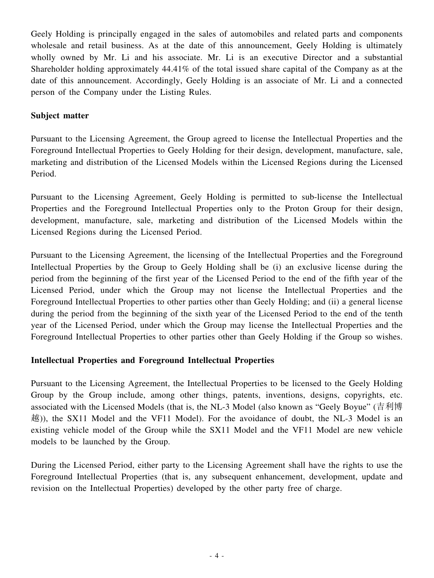Geely Holding is principally engaged in the sales of automobiles and related parts and components wholesale and retail business. As at the date of this announcement, Geely Holding is ultimately wholly owned by Mr. Li and his associate. Mr. Li is an executive Director and a substantial Shareholder holding approximately 44.41% of the total issued share capital of the Company as at the date of this announcement. Accordingly, Geely Holding is an associate of Mr. Li and a connected person of the Company under the Listing Rules.

### **Subject matter**

Pursuant to the Licensing Agreement, the Group agreed to license the Intellectual Properties and the Foreground Intellectual Properties to Geely Holding for their design, development, manufacture, sale, marketing and distribution of the Licensed Models within the Licensed Regions during the Licensed Period.

Pursuant to the Licensing Agreement, Geely Holding is permitted to sub-license the Intellectual Properties and the Foreground Intellectual Properties only to the Proton Group for their design, development, manufacture, sale, marketing and distribution of the Licensed Models within the Licensed Regions during the Licensed Period.

Pursuant to the Licensing Agreement, the licensing of the Intellectual Properties and the Foreground Intellectual Properties by the Group to Geely Holding shall be (i) an exclusive license during the period from the beginning of the first year of the Licensed Period to the end of the fifth year of the Licensed Period, under which the Group may not license the Intellectual Properties and the Foreground Intellectual Properties to other parties other than Geely Holding; and (ii) a general license during the period from the beginning of the sixth year of the Licensed Period to the end of the tenth year of the Licensed Period, under which the Group may license the Intellectual Properties and the Foreground Intellectual Properties to other parties other than Geely Holding if the Group so wishes.

### **Intellectual Properties and Foreground Intellectual Properties**

Pursuant to the Licensing Agreement, the Intellectual Properties to be licensed to the Geely Holding Group by the Group include, among other things, patents, inventions, designs, copyrights, etc. associated with the Licensed Models (that is, the NL-3 Model (also known as "Geely Boyue" (吉利博 越)), the SX11 Model and the VF11 Model). For the avoidance of doubt, the NL-3 Model is an existing vehicle model of the Group while the SX11 Model and the VF11 Model are new vehicle models to be launched by the Group.

During the Licensed Period, either party to the Licensing Agreement shall have the rights to use the Foreground Intellectual Properties (that is, any subsequent enhancement, development, update and revision on the Intellectual Properties) developed by the other party free of charge.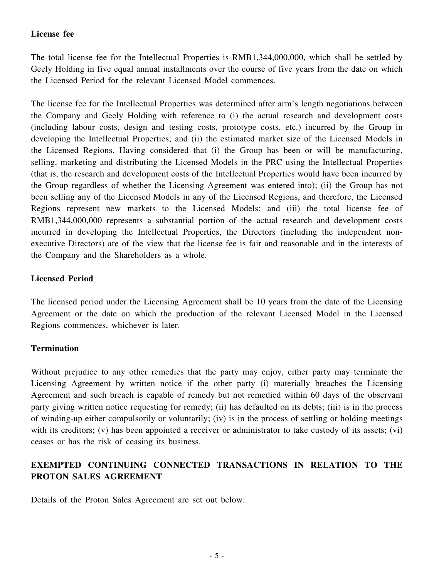### **License fee**

The total license fee for the Intellectual Properties is RMB1,344,000,000, which shall be settled by Geely Holding in five equal annual installments over the course of five years from the date on which the Licensed Period for the relevant Licensed Model commences.

The license fee for the Intellectual Properties was determined after arm's length negotiations between the Company and Geely Holding with reference to (i) the actual research and development costs (including labour costs, design and testing costs, prototype costs, etc.) incurred by the Group in developing the Intellectual Properties; and (ii) the estimated market size of the Licensed Models in the Licensed Regions. Having considered that (i) the Group has been or will be manufacturing, selling, marketing and distributing the Licensed Models in the PRC using the Intellectual Properties (that is, the research and development costs of the Intellectual Properties would have been incurred by the Group regardless of whether the Licensing Agreement was entered into); (ii) the Group has not been selling any of the Licensed Models in any of the Licensed Regions, and therefore, the Licensed Regions represent new markets to the Licensed Models; and (iii) the total license fee of RMB1,344,000,000 represents a substantial portion of the actual research and development costs incurred in developing the Intellectual Properties, the Directors (including the independent nonexecutive Directors) are of the view that the license fee is fair and reasonable and in the interests of the Company and the Shareholders as a whole.

### **Licensed Period**

The licensed period under the Licensing Agreement shall be 10 years from the date of the Licensing Agreement or the date on which the production of the relevant Licensed Model in the Licensed Regions commences, whichever is later.

### **Termination**

Without prejudice to any other remedies that the party may enjoy, either party may terminate the Licensing Agreement by written notice if the other party (i) materially breaches the Licensing Agreement and such breach is capable of remedy but not remedied within 60 days of the observant party giving written notice requesting for remedy; (ii) has defaulted on its debts; (iii) is in the process of winding-up either compulsorily or voluntarily; (iv) is in the process of settling or holding meetings with its creditors; (v) has been appointed a receiver or administrator to take custody of its assets; (vi) ceases or has the risk of ceasing its business.

## **EXEMPTED CONTINUING CONNECTED TRANSACTIONS IN RELATION TO THE PROTON SALES AGREEMENT**

Details of the Proton Sales Agreement are set out below: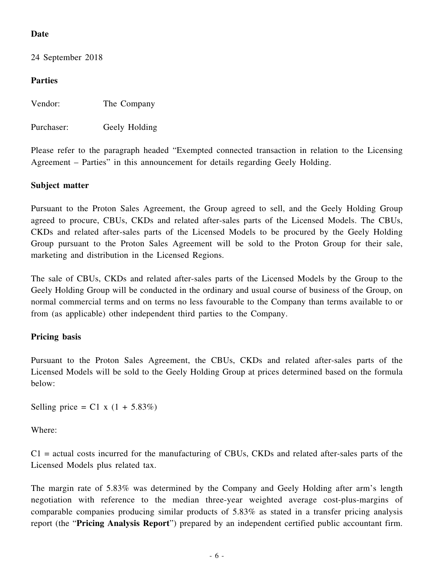### **Date**

24 September 2018

### **Parties**

Vendor: The Company

Purchaser: Geely Holding

Please refer to the paragraph headed "Exempted connected transaction in relation to the Licensing Agreement – Parties" in this announcement for details regarding Geely Holding.

### **Subject matter**

Pursuant to the Proton Sales Agreement, the Group agreed to sell, and the Geely Holding Group agreed to procure, CBUs, CKDs and related after-sales parts of the Licensed Models. The CBUs, CKDs and related after-sales parts of the Licensed Models to be procured by the Geely Holding Group pursuant to the Proton Sales Agreement will be sold to the Proton Group for their sale, marketing and distribution in the Licensed Regions.

The sale of CBUs, CKDs and related after-sales parts of the Licensed Models by the Group to the Geely Holding Group will be conducted in the ordinary and usual course of business of the Group, on normal commercial terms and on terms no less favourable to the Company than terms available to or from (as applicable) other independent third parties to the Company.

### **Pricing basis**

Pursuant to the Proton Sales Agreement, the CBUs, CKDs and related after-sales parts of the Licensed Models will be sold to the Geely Holding Group at prices determined based on the formula below:

Selling price = C1 x  $(1 + 5.83\%)$ 

Where:

 $C1$  = actual costs incurred for the manufacturing of CBUs, CKDs and related after-sales parts of the Licensed Models plus related tax.

The margin rate of 5.83% was determined by the Company and Geely Holding after arm's length negotiation with reference to the median three-year weighted average cost-plus-margins of comparable companies producing similar products of 5.83% as stated in a transfer pricing analysis report (the "**Pricing Analysis Report**") prepared by an independent certified public accountant firm.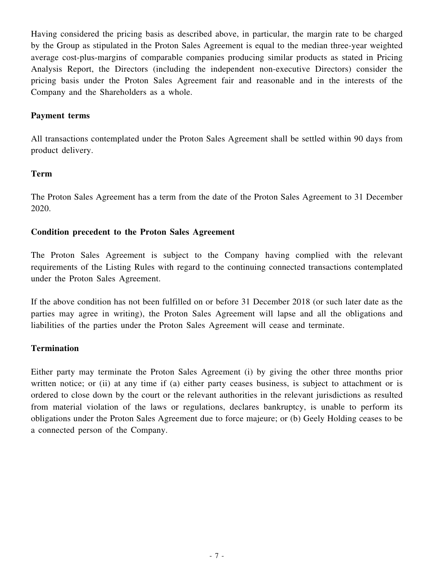Having considered the pricing basis as described above, in particular, the margin rate to be charged by the Group as stipulated in the Proton Sales Agreement is equal to the median three-year weighted average cost-plus-margins of comparable companies producing similar products as stated in Pricing Analysis Report, the Directors (including the independent non-executive Directors) consider the pricing basis under the Proton Sales Agreement fair and reasonable and in the interests of the Company and the Shareholders as a whole.

### **Payment terms**

All transactions contemplated under the Proton Sales Agreement shall be settled within 90 days from product delivery.

#### **Term**

The Proton Sales Agreement has a term from the date of the Proton Sales Agreement to 31 December 2020.

#### **Condition precedent to the Proton Sales Agreement**

The Proton Sales Agreement is subject to the Company having complied with the relevant requirements of the Listing Rules with regard to the continuing connected transactions contemplated under the Proton Sales Agreement.

If the above condition has not been fulfilled on or before 31 December 2018 (or such later date as the parties may agree in writing), the Proton Sales Agreement will lapse and all the obligations and liabilities of the parties under the Proton Sales Agreement will cease and terminate.

#### **Termination**

Either party may terminate the Proton Sales Agreement (i) by giving the other three months prior written notice; or (ii) at any time if (a) either party ceases business, is subject to attachment or is ordered to close down by the court or the relevant authorities in the relevant jurisdictions as resulted from material violation of the laws or regulations, declares bankruptcy, is unable to perform its obligations under the Proton Sales Agreement due to force majeure; or (b) Geely Holding ceases to be a connected person of the Company.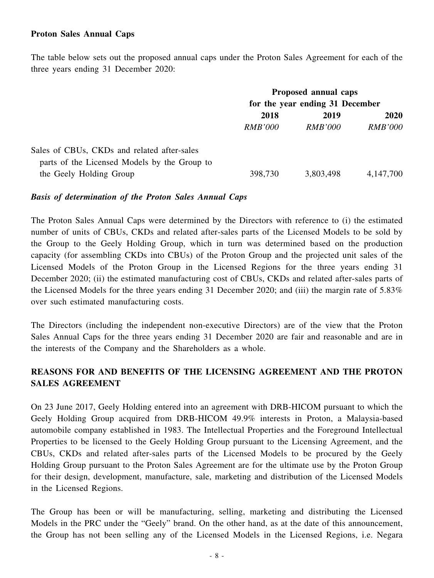#### **Proton Sales Annual Caps**

The table below sets out the proposed annual caps under the Proton Sales Agreement for each of the three years ending 31 December 2020:

|                                              | Proposed annual caps<br>for the year ending 31 December |                |                |
|----------------------------------------------|---------------------------------------------------------|----------------|----------------|
|                                              |                                                         |                |                |
|                                              | 2018                                                    | 2019           | <b>2020</b>    |
|                                              | <i>RMB'000</i>                                          | <i>RMB'000</i> | <b>RMB'000</b> |
| Sales of CBUs, CKDs and related after-sales  |                                                         |                |                |
| parts of the Licensed Models by the Group to |                                                         |                |                |
| the Geely Holding Group                      | 398,730                                                 | 3,803,498      | 4, 147, 700    |

#### *Basis of determination of the Proton Sales Annual Caps*

The Proton Sales Annual Caps were determined by the Directors with reference to (i) the estimated number of units of CBUs, CKDs and related after-sales parts of the Licensed Models to be sold by the Group to the Geely Holding Group, which in turn was determined based on the production capacity (for assembling CKDs into CBUs) of the Proton Group and the projected unit sales of the Licensed Models of the Proton Group in the Licensed Regions for the three years ending 31 December 2020; (ii) the estimated manufacturing cost of CBUs, CKDs and related after-sales parts of the Licensed Models for the three years ending 31 December 2020; and (iii) the margin rate of 5.83% over such estimated manufacturing costs.

The Directors (including the independent non-executive Directors) are of the view that the Proton Sales Annual Caps for the three years ending 31 December 2020 are fair and reasonable and are in the interests of the Company and the Shareholders as a whole.

### **REASONS FOR AND BENEFITS OF THE LICENSING AGREEMENT AND THE PROTON SALES AGREEMENT**

On 23 June 2017, Geely Holding entered into an agreement with DRB-HICOM pursuant to which the Geely Holding Group acquired from DRB-HICOM 49.9% interests in Proton, a Malaysia-based automobile company established in 1983. The Intellectual Properties and the Foreground Intellectual Properties to be licensed to the Geely Holding Group pursuant to the Licensing Agreement, and the CBUs, CKDs and related after-sales parts of the Licensed Models to be procured by the Geely Holding Group pursuant to the Proton Sales Agreement are for the ultimate use by the Proton Group for their design, development, manufacture, sale, marketing and distribution of the Licensed Models in the Licensed Regions.

The Group has been or will be manufacturing, selling, marketing and distributing the Licensed Models in the PRC under the "Geely" brand. On the other hand, as at the date of this announcement, the Group has not been selling any of the Licensed Models in the Licensed Regions, i.e. Negara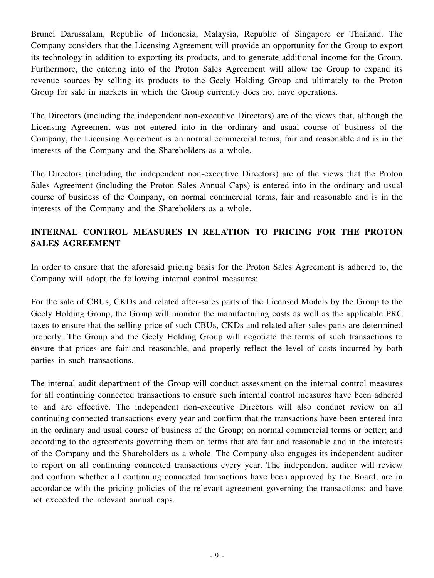Brunei Darussalam, Republic of Indonesia, Malaysia, Republic of Singapore or Thailand. The Company considers that the Licensing Agreement will provide an opportunity for the Group to export its technology in addition to exporting its products, and to generate additional income for the Group. Furthermore, the entering into of the Proton Sales Agreement will allow the Group to expand its revenue sources by selling its products to the Geely Holding Group and ultimately to the Proton Group for sale in markets in which the Group currently does not have operations.

The Directors (including the independent non-executive Directors) are of the views that, although the Licensing Agreement was not entered into in the ordinary and usual course of business of the Company, the Licensing Agreement is on normal commercial terms, fair and reasonable and is in the interests of the Company and the Shareholders as a whole.

The Directors (including the independent non-executive Directors) are of the views that the Proton Sales Agreement (including the Proton Sales Annual Caps) is entered into in the ordinary and usual course of business of the Company, on normal commercial terms, fair and reasonable and is in the interests of the Company and the Shareholders as a whole.

## **INTERNAL CONTROL MEASURES IN RELATION TO PRICING FOR THE PROTON SALES AGREEMENT**

In order to ensure that the aforesaid pricing basis for the Proton Sales Agreement is adhered to, the Company will adopt the following internal control measures:

For the sale of CBUs, CKDs and related after-sales parts of the Licensed Models by the Group to the Geely Holding Group, the Group will monitor the manufacturing costs as well as the applicable PRC taxes to ensure that the selling price of such CBUs, CKDs and related after-sales parts are determined properly. The Group and the Geely Holding Group will negotiate the terms of such transactions to ensure that prices are fair and reasonable, and properly reflect the level of costs incurred by both parties in such transactions.

The internal audit department of the Group will conduct assessment on the internal control measures for all continuing connected transactions to ensure such internal control measures have been adhered to and are effective. The independent non-executive Directors will also conduct review on all continuing connected transactions every year and confirm that the transactions have been entered into in the ordinary and usual course of business of the Group; on normal commercial terms or better; and according to the agreements governing them on terms that are fair and reasonable and in the interests of the Company and the Shareholders as a whole. The Company also engages its independent auditor to report on all continuing connected transactions every year. The independent auditor will review and confirm whether all continuing connected transactions have been approved by the Board; are in accordance with the pricing policies of the relevant agreement governing the transactions; and have not exceeded the relevant annual caps.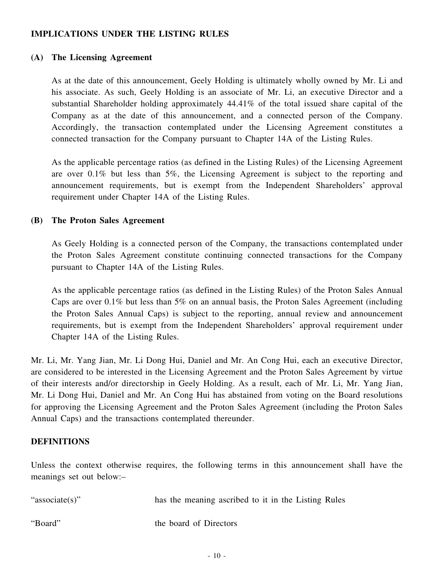### **IMPLICATIONS UNDER THE LISTING RULES**

#### **(A) The Licensing Agreement**

As at the date of this announcement, Geely Holding is ultimately wholly owned by Mr. Li and his associate. As such, Geely Holding is an associate of Mr. Li, an executive Director and a substantial Shareholder holding approximately 44.41% of the total issued share capital of the Company as at the date of this announcement, and a connected person of the Company. Accordingly, the transaction contemplated under the Licensing Agreement constitutes a connected transaction for the Company pursuant to Chapter 14A of the Listing Rules.

As the applicable percentage ratios (as defined in the Listing Rules) of the Licensing Agreement are over 0.1% but less than 5%, the Licensing Agreement is subject to the reporting and announcement requirements, but is exempt from the Independent Shareholders' approval requirement under Chapter 14A of the Listing Rules.

#### **(B) The Proton Sales Agreement**

As Geely Holding is a connected person of the Company, the transactions contemplated under the Proton Sales Agreement constitute continuing connected transactions for the Company pursuant to Chapter 14A of the Listing Rules.

As the applicable percentage ratios (as defined in the Listing Rules) of the Proton Sales Annual Caps are over 0.1% but less than 5% on an annual basis, the Proton Sales Agreement (including the Proton Sales Annual Caps) is subject to the reporting, annual review and announcement requirements, but is exempt from the Independent Shareholders' approval requirement under Chapter 14A of the Listing Rules.

Mr. Li, Mr. Yang Jian, Mr. Li Dong Hui, Daniel and Mr. An Cong Hui, each an executive Director, are considered to be interested in the Licensing Agreement and the Proton Sales Agreement by virtue of their interests and/or directorship in Geely Holding. As a result, each of Mr. Li, Mr. Yang Jian, Mr. Li Dong Hui, Daniel and Mr. An Cong Hui has abstained from voting on the Board resolutions for approving the Licensing Agreement and the Proton Sales Agreement (including the Proton Sales Annual Caps) and the transactions contemplated thereunder.

### **DEFINITIONS**

Unless the context otherwise requires, the following terms in this announcement shall have the meanings set out below:–

| "associate(s)" | has the meaning ascribed to it in the Listing Rules |
|----------------|-----------------------------------------------------|
| "Board"        | the board of Directors                              |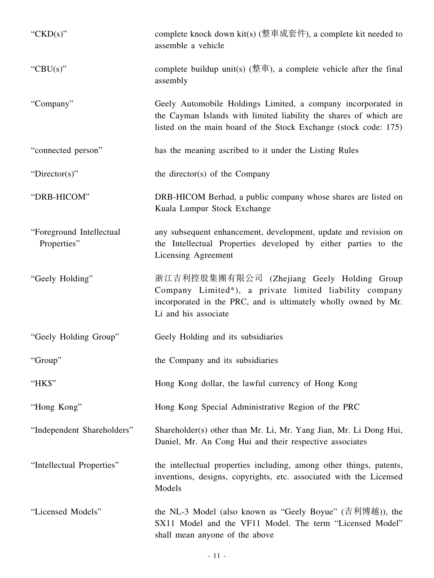| "CKD(s)"                                | complete knock down kit(s) (整車成套件), a complete kit needed to<br>assemble a vehicle                                                                                                                    |
|-----------------------------------------|-------------------------------------------------------------------------------------------------------------------------------------------------------------------------------------------------------|
| "CBU(s)"                                | complete buildup unit(s) ( $\stackrel{m}{\leq}$ $\stackrel{m}{\leq}$ ), a complete vehicle after the final<br>assembly                                                                                |
| "Company"                               | Geely Automobile Holdings Limited, a company incorporated in<br>the Cayman Islands with limited liability the shares of which are<br>listed on the main board of the Stock Exchange (stock code: 175) |
| "connected person"                      | has the meaning ascribed to it under the Listing Rules                                                                                                                                                |
| "Director(s)"                           | the director(s) of the Company                                                                                                                                                                        |
| "DRB-HICOM"                             | DRB-HICOM Berhad, a public company whose shares are listed on<br>Kuala Lumpur Stock Exchange                                                                                                          |
| "Foreground Intellectual<br>Properties" | any subsequent enhancement, development, update and revision on<br>the Intellectual Properties developed by either parties to the<br>Licensing Agreement                                              |
| "Geely Holding"                         | 浙江吉利控股集團有限公司 (Zhejiang Geely Holding Group<br>Company Limited*), a private limited liability company<br>incorporated in the PRC, and is ultimately wholly owned by Mr.<br>Li and his associate        |
| "Geely Holding Group"                   | Geely Holding and its subsidiaries                                                                                                                                                                    |
| "Group"                                 | the Company and its subsidiaries                                                                                                                                                                      |
| "HK\$"                                  | Hong Kong dollar, the lawful currency of Hong Kong                                                                                                                                                    |
| "Hong Kong"                             | Hong Kong Special Administrative Region of the PRC                                                                                                                                                    |
| "Independent Shareholders"              | Shareholder(s) other than Mr. Li, Mr. Yang Jian, Mr. Li Dong Hui,<br>Daniel, Mr. An Cong Hui and their respective associates                                                                          |
| "Intellectual Properties"               | the intellectual properties including, among other things, patents,<br>inventions, designs, copyrights, etc. associated with the Licensed<br>Models                                                   |
| "Licensed Models"                       | the NL-3 Model (also known as "Geely Boyue" (吉利博越)), the<br>SX11 Model and the VF11 Model. The term "Licensed Model"<br>shall mean anyone of the above                                                |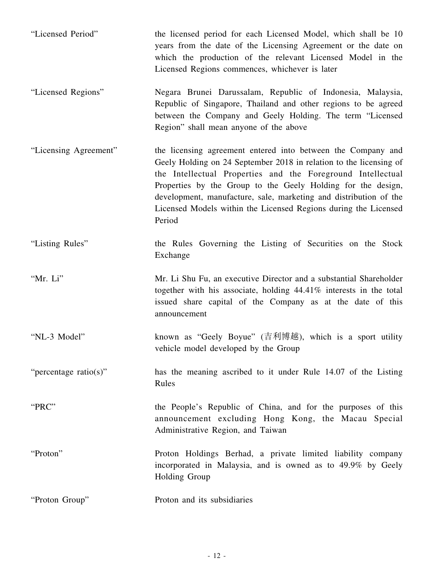| "Licensed Period"     | the licensed period for each Licensed Model, which shall be 10<br>years from the date of the Licensing Agreement or the date on<br>which the production of the relevant Licensed Model in the<br>Licensed Regions commences, whichever is later                                                                                                                                                                     |
|-----------------------|---------------------------------------------------------------------------------------------------------------------------------------------------------------------------------------------------------------------------------------------------------------------------------------------------------------------------------------------------------------------------------------------------------------------|
| "Licensed Regions"    | Negara Brunei Darussalam, Republic of Indonesia, Malaysia,<br>Republic of Singapore, Thailand and other regions to be agreed<br>between the Company and Geely Holding. The term "Licensed<br>Region" shall mean anyone of the above                                                                                                                                                                                 |
| "Licensing Agreement" | the licensing agreement entered into between the Company and<br>Geely Holding on 24 September 2018 in relation to the licensing of<br>the Intellectual Properties and the Foreground Intellectual<br>Properties by the Group to the Geely Holding for the design,<br>development, manufacture, sale, marketing and distribution of the<br>Licensed Models within the Licensed Regions during the Licensed<br>Period |
| "Listing Rules"       | the Rules Governing the Listing of Securities on the Stock<br>Exchange                                                                                                                                                                                                                                                                                                                                              |
| "Mr. Li"              | Mr. Li Shu Fu, an executive Director and a substantial Shareholder<br>together with his associate, holding 44.41% interests in the total<br>issued share capital of the Company as at the date of this<br>announcement                                                                                                                                                                                              |
| "NL-3 Model"          | known as "Geely Boyue" (吉利博越), which is a sport utility<br>vehicle model developed by the Group                                                                                                                                                                                                                                                                                                                     |
| "percentage ratio(s)" | has the meaning ascribed to it under Rule 14.07 of the Listing<br>Rules                                                                                                                                                                                                                                                                                                                                             |
| "PRC"                 | the People's Republic of China, and for the purposes of this<br>announcement excluding Hong Kong, the Macau Special<br>Administrative Region, and Taiwan                                                                                                                                                                                                                                                            |
| "Proton"              | Proton Holdings Berhad, a private limited liability company<br>incorporated in Malaysia, and is owned as to 49.9% by Geely<br>Holding Group                                                                                                                                                                                                                                                                         |
| "Proton Group"        | Proton and its subsidiaries                                                                                                                                                                                                                                                                                                                                                                                         |